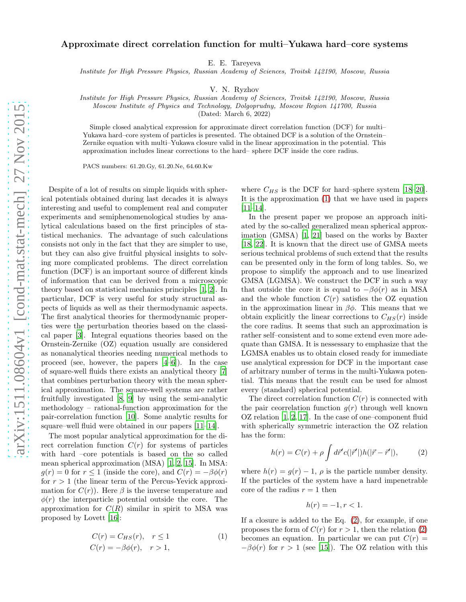## Approximate direct correlation function for multi–Yukawa hard–core systems

E. E. Tareyeva

Institute for High Pressure Physics, Russian Academy of Sciences, Troitsk 142190, Moscow, Russia

V. N. Ryzhov

Institute for High Pressure Physics, Russian Academy of Sciences, Troitsk 142190, Moscow, Russia

Moscow Institute of Physics and Technology, Dolgoprudny, Moscow Region 141700, Russia

(Dated: March 6, 2022)

Simple closed analytical expression for approximate direct correlation function (DCF) for multi– Yukawa hard–core system of particles is presented. The obtained DCF is a solution of the Ornstein– Zernike equation with multi–Yukawa closure valid in the linear approximation in the potential. This approximation includes linear corrections to the hard– sphere DCF inside the core radius.

PACS numbers: 61.20.Gy, 61.20.Ne, 64.60.Kw

Despite of a lot of results on simple liquids with spherical potentials obtained during last decades it is always interesting and useful to complement real and computer experiments and semiphenomenological studies by analytical calculations based on the first principles of statistical mechanics. The advantage of such calculations consists not only in the fact that they are simpler to use, but they can also give fruitful physical insights to solving more complicated problems. The direct correlation function (DCF) is an important source of different kinds of information that can be derived from a microscopic theory based on statistical mechanics principles [\[1,](#page-3-0) [2](#page-3-1)]. In particular, DCF is very useful for study structural aspects of liquids as well as their thermodynamic aspects. The first analytical theories for thermodynamic properties were the perturbation theories based on the classical paper [\[3](#page-3-2)]. Integral equations theories based on the Ornstein-Zernike (OZ) equation usually are considered as nonanalytical theories needing numerical methods to proceed (see, however, the papers [\[4](#page-3-3)[–6](#page-3-4)]). In the case of square-well fluids there exists an analytical theory [\[7](#page-3-5)] that combines perturbation theory with the mean spherical approximation. The square-well systems are rather fruitfully investigated [\[8](#page-3-6), [9\]](#page-3-7) by using the semi-analytic methodology – rational-function approximation for the pair-correlation function [\[10](#page-3-8)]. Some analytic results for square–well fluid were obtained in our papers [\[11](#page-3-9)[–14\]](#page-3-10).

The most popular analytical approximation for the direct correlation function  $C(r)$  for systems of particles with hard –core potentials is based on the so called mean spherical approximation (MSA) [\[1,](#page-3-0) [2](#page-3-1), [15\]](#page-3-11). In MSA:  $g(r) = 0$  for  $r \le 1$  (inside the core), and  $C(r) = -\beta \phi(r)$ for  $r > 1$  (the linear term of the Percus-Yevick approximation for  $C(r)$ ). Here  $\beta$  is the inverse temperature and  $\phi(r)$  the interparticle potential outside the core. The approximation for  $C(R)$  similar in spirit to MSA was proposed by Lovett [\[16\]](#page-3-12):

<span id="page-0-0"></span>
$$
C(r) = C_{HS}(r), \quad r \le 1
$$
  
\n
$$
C(r) = -\beta \phi(r), \quad r > 1,
$$
\n(1)

where  $C_{HS}$  is the DCF for hard–sphere system [\[18](#page-3-13)[–20\]](#page-3-14). It is the approximation [\(1\)](#page-0-0) that we have used in papers [\[11](#page-3-9)[–14\]](#page-3-10).

In the present paper we propose an approach initiated by the so-called generalized mean spherical approximation (GMSA) [\[1,](#page-3-0) [21\]](#page-3-15) based on the works by Baxter [\[18,](#page-3-13) [22\]](#page-3-16). It is known that the direct use of GMSA meets serious technical problems of such extend that the results can be presented only in the form of long tables. So, we propose to simplify the approach and to use linearized GMSA (LGMSA). We construct the DCF in such a way that outside the core it is equal to  $-\beta\phi(r)$  as in MSA and the whole function  $C(r)$  satisfies the OZ equation in the approximation linear in  $\beta\phi$ . This means that we obtain explicitly the linear corrections to  $C_{HS}(r)$  inside the core radius. It seems that such an approximation is rather self–consistent and to some extend even more adequate than GMSA. It is nessessary to emphasize that the LGMSA enables us to obtain closed ready for immediate use analytical expression for DCF in the important case of arbitrary number of terms in the multi-Yukawa potential. This means that the result can be used for almost every (standard) spherical potential.

The direct correlation function  $C(r)$  is connected with the pair ceorrelation function  $g(r)$  through well known OZ relation [\[1](#page-3-0), [2,](#page-3-1) [17](#page-3-17)]. In the case of one–component fluid with spherically symmetric interaction the OZ relation has the form:

<span id="page-0-1"></span>
$$
h(r) = C(r) + \rho \int d\vec{r}' c(|\vec{r}'|) h(|\vec{r} - \vec{r}'|), \qquad (2)
$$

where  $h(r) = g(r) - 1$ ,  $\rho$  is the particle number density. If the particles of the system have a hard impenetrable core of the radius  $r = 1$  then

$$
h(r) = -1, r < 1.
$$

If a closure is added to the Eq. [\(2\)](#page-0-1), for example, if one proposes the form of  $C(r)$  for  $r > 1$ , then the relation [\(2\)](#page-0-1) becomes an equation. In particular we can put  $C(r)$  =  $-\beta\phi(r)$  for  $r > 1$  (see [\[15](#page-3-11)]). The OZ relation with this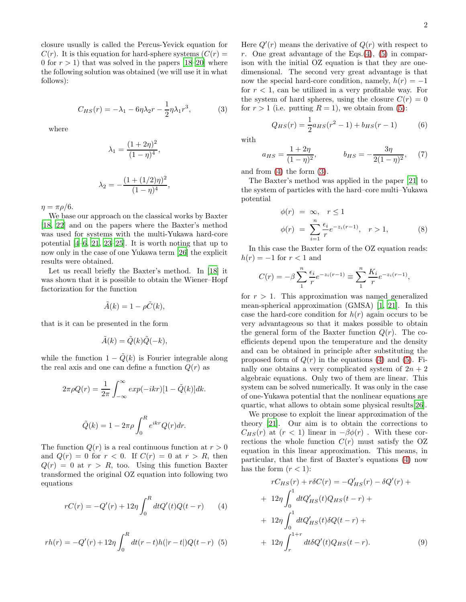closure usually is called the Percus-Yevick equation for  $C(r)$ . It is this equation for hard-sphere systems  $(C(r) =$ 0 for  $r > 1$ ) that was solved in the papers [\[18–](#page-3-13)[20\]](#page-3-14) where the following solution was obtained (we will use it in what follows):

<span id="page-1-2"></span>
$$
C_{HS}(r) = -\lambda_1 - 6\eta \lambda_2 r - \frac{1}{2}\eta \lambda_1 r^3, \qquad (3)
$$

where

$$
\lambda_1 = \frac{(1+2\eta)^2}{(1-\eta)^4},
$$
  

$$
\lambda_2 = -\frac{(1+(1/2)\eta)^2}{(1-\eta)^4},
$$

 $\eta = \pi \rho/6.$ 

We base our approach on the classical works by Baxter [\[18,](#page-3-13) [22\]](#page-3-16) and on the papers where the Baxter's method was used for systems with the multi-Yukawa hard-core potential [\[4](#page-3-3)[–6,](#page-3-4) [21](#page-3-15), [23](#page-3-18)[–25\]](#page-3-19). It is worth noting that up to now only in the case of one Yukawa term [\[26](#page-3-20)] the explicit results were obtained.

Let us recall briefly the Baxter's method. In [\[18](#page-3-13)] it was shown that it is possible to obtain the Wiener–Hopf factorization for the function

$$
\tilde{A}(k) = 1 - \rho \tilde{C}(k),
$$

that is it can be presented in the form

$$
\tilde{A}(k) = \tilde{Q}(k)\tilde{Q}(-k),
$$

while the function  $1 - \tilde{Q}(k)$  is Fourier integrable along the real axis and one can define a function  $Q(r)$  as

$$
2\pi \rho Q(r) = \frac{1}{2\pi} \int_{-\infty}^{\infty} exp(-ikr)[1 - \tilde{Q}(k)]dk.
$$

$$
\tilde{Q}(k) = 1 - 2\pi \rho \int_0^R e^{ikr} Q(r) dr.
$$

The function  $Q(r)$  is a real continuous function at  $r > 0$ and  $Q(r) = 0$  for  $r < 0$ . If  $C(r) = 0$  at  $r > R$ , then  $Q(r) = 0$  at  $r > R$ , too. Using this function Baxter transformed the original OZ equation into following two equations

<span id="page-1-0"></span>
$$
rC(r) = -Q'(r) + 12\eta \int_0^R dt Q'(t)Q(t-r)
$$
 (4)

<span id="page-1-1"></span>
$$
rh(r) = -Q'(r) + 12\eta \int_0^R dt(r-t)h(|r-t|)Q(t-r) \tag{5}
$$

Here  $Q'(r)$  means the derivative of  $Q(r)$  with respect to r. One great advantage of the Eqs. $(4)$ ,  $(5)$  in comparison with the initial OZ equation is that they are onedimensional. The second very great advantage is that now the special hard-core condition, namely,  $h(r) = -1$ for  $r < 1$ , can be utilized in a very profitable way. For the system of hard spheres, using the closure  $C(r) = 0$ for  $r > 1$  (i.e. putting  $R = 1$ ), we obtain from [\(5\)](#page-1-1):

$$
Q_{HS}(r) = \frac{1}{2}a_{HS}(r^2 - 1) + b_{HS}(r - 1)
$$
 (6)

with

$$
a_{HS} = \frac{1+2\eta}{(1-\eta)^2}, \qquad b_{HS} = -\frac{3\eta}{2(1-\eta)^2}, \qquad (7)
$$

and from [\(4\)](#page-1-0) the form [\(3\)](#page-1-2).

The Baxter's method was applied in the paper [\[21](#page-3-15)] to the system of particles with the hard–core multi–Yukawa potential

<span id="page-1-3"></span>
$$
\begin{aligned}\n\phi(r) &= \infty, \quad r \le 1 \\
\phi(r) &= \sum_{i=1}^{n} \frac{\epsilon_i}{r} e^{-z_i(r-1)}, \quad r > 1,\n\end{aligned} \tag{8}
$$

In this case the Baxter form of the OZ equation reads:  $h(r) = -1$  for  $r < 1$  and

$$
C(r) = -\beta \sum_{1}^{n} \frac{\epsilon_i}{r} e^{-z_i(r-1)} \equiv \sum_{1}^{n} \frac{K_i}{r} e^{-z_i(r-1)},
$$

for  $r > 1$ . This approximation was named generalized mean-spherical approximation (GMSA) [\[1](#page-3-0), [21\]](#page-3-15). In this case the hard-core condition for  $h(r)$  again occurs to be very advantageous so that it makes possible to obtain the general form of the Baxter function  $Q(r)$ . The coefficients depend upon the temperature and the density and can be obtained in principle after substituting the proposed form of  $Q(r)$  in the equations [\(4\)](#page-1-0) and [\(5\)](#page-1-1). Finally one obtains a very complicated system of  $2n + 2$ algebraic equations. Only two of them are linear. This system can be solved numerically. It was only in the case of one-Yukawa potential that the nonlinear equations are quartic, what allows to obtain some physical results[\[26\]](#page-3-20).

We propose to exploit the linear approximation of the theory [\[21\]](#page-3-15). Our aim is to obtain the corrections to  $C_{HS}(r)$  at  $(r < 1)$  linear in  $-\beta\phi(r)$ . With these corrections the whole function  $C(r)$  must satisfy the OZ equation in this linear approximation. This means, in particular, that the first of Baxter's equations [\(4\)](#page-1-0) now has the form  $(r < 1)$ :

$$
rC_{HS}(r) + r\delta C(r) = -Q'_{HS}(r) - \delta Q'(r) +
$$
  
+ 12 $\eta \int_0^1 dt Q'_{HS}(t)Q_{HS}(t-r) +$   
+ 12 $\eta \int_0^1 dt Q'_{HS}(t)\delta Q(t-r) +$   
+ 12 $\eta \int_r^{1+r} dt \delta Q'(t)Q_{HS}(t-r).$  (9)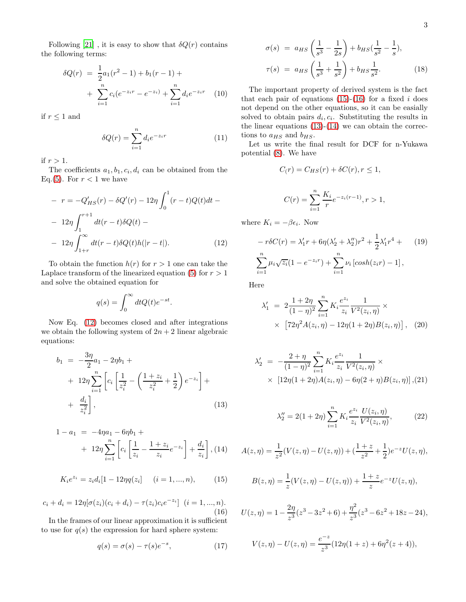Following [\[21\]](#page-3-15), it is easy to show that  $\delta Q(r)$  contains the following terms:

$$
\delta Q(r) = \frac{1}{2} a_1 (r^2 - 1) + b_1 (r - 1) +
$$
  
+ 
$$
\sum_{i=1}^n c_i (e^{-z_i r} - e^{-z_i}) + \sum_{i=1}^n d_i e^{-z_i r} \quad (10)
$$

if  $r\leq 1$  and

$$
\delta Q(r) = \sum_{i=1}^{n} d_i e^{-z_i r} \tag{11}
$$

if  $r > 1$ .

The coefficients  $a_1, b_1, c_i, d_i$  can be obtained from the Eq.[\(5\)](#page-1-1). For  $r < 1$  we have

<span id="page-2-0"></span>
$$
- r = -Q'_{HS}(r) - \delta Q'(r) - 12\eta \int_0^1 (r - t)Q(t)dt - 12\eta \int_1^{r+1} dt(r - t)\delta Q(t) - 12\eta \int_{1+r}^{\infty} dt(r - t)\delta Q(t)h(|r - t|).
$$
 (12)

To obtain the function  $h(r)$  for  $r > 1$  one can take the Laplace transform of the linearized equation [\(5\)](#page-1-1) for  $r > 1$ and solve the obtained equation for

$$
q(s) = \int_0^\infty dt Q(t)e^{-st}
$$

.

Now Eq. [\(12\)](#page-2-0) becomes closed and after integrations we obtain the following system of  $2n + 2$  linear algebraic equations:

<span id="page-2-3"></span>
$$
b_1 = -\frac{3\eta}{2}a_1 - 2\eta b_1 +
$$
  
+  $12\eta \sum_{i=1}^n \left[ c_i \left[ \frac{1}{z_i^2} - \left( \frac{1+z_i}{z_i^2} + \frac{1}{2} \right) e^{-z_i} \right] +$   
+  $\frac{d_i}{z_i^2} \right],$  (13)

<span id="page-2-4"></span>
$$
1 - a_1 = -4\eta a_1 - 6\eta b_1 +
$$
  
+ 
$$
12\eta \sum_{i=1}^n \left[ c_i \left[ \frac{1}{z_i} - \frac{1+z_i}{z_i} e^{-z_i} \right] + \frac{d_i}{z_i} \right], (14)
$$

<span id="page-2-1"></span>
$$
K_i e^{z_i} = z_i d_i [1 - 12\eta q(z_i)] \quad (i = 1, ..., n), \tag{15}
$$

<span id="page-2-2"></span>
$$
c_i + d_i = 12\eta[\sigma(z_i)(c_i + d_i) - \tau(z_i)c_i e^{-z_i}] \quad (i = 1, ..., n).
$$
\n(16)

In the frames of our linear approximation it is sufficient to use for  $q(s)$  the expression for hard sphere system:

$$
q(s) = \sigma(s) - \tau(s)e^{-s}, \qquad (17)
$$

$$
\sigma(s) = a_{HS} \left( \frac{1}{s^3} - \frac{1}{2s} \right) + b_{HS} \left( \frac{1}{s^2} - \frac{1}{s} \right),
$$
  

$$
\tau(s) = a_{HS} \left( \frac{1}{s^3} + \frac{1}{s^2} \right) + b_{HS} \frac{1}{s^2}.
$$
 (18)

The important property of derived system is the fact that each pair of equations  $(15)-(16)$  $(15)-(16)$  for a fixed i does not depend on the other equations, so it can be easially solved to obtain pairs  $d_i, c_i$ . Substituting the results in the linear equations  $(13)-(14)$  $(13)-(14)$  we can obtain the corrections to  $a_{HS}$  and  $b_{HS}$ .

Let us write the final result for DCF for n-Yukawa potential [\(8\)](#page-1-3). We have

$$
C(r) = C_{HS}(r) + \delta C(r), r \le 1,
$$

$$
C(r) = \sum_{i=1}^{n} \frac{K_i}{r} e^{-z_i(r-1)}, r > 1,
$$

where  $K_i = -\beta \epsilon_i$ . Now

$$
-r\delta C(r) = \lambda'_1 r + 6\eta(\lambda'_2 + \lambda''_2)r^2 + \frac{1}{2}\lambda'_1 r^4 + (19)
$$

$$
\sum_{i=1}^n \mu_i \sqrt{z_i} (1 - e^{-z_i r}) + \sum_{i=1}^n \nu_i \left[ \cosh(z_i r) - 1 \right],
$$

Here

$$
\lambda'_{1} = 2 \frac{1+2\eta}{(1-\eta)^{2}} \sum_{i=1}^{n} K_{i} \frac{e^{z_{i}}}{z_{i}} \frac{1}{V^{2}(z_{i}, \eta)} \times \times \left[ 72\eta^{2} A(z_{i}, \eta) - 12\eta (1+2\eta) B(z_{i}, \eta) \right], \quad (20)
$$

$$
\lambda_2' = -\frac{2+\eta}{(1-\eta)^2} \sum_{i=1}^n K_i \frac{e^{z_i}}{z_i} \frac{1}{V^2(z_i, \eta)} \times \\ \times \left[12\eta(1+2\eta)A(z_i, \eta) - 6\eta(2+\eta)B(z_i, \eta)\right], (21)
$$

$$
\lambda_2'' = 2(1+2\eta) \sum_{i=1}^n K_i \frac{e^{z_i}}{z_i} \frac{U(z_i, \eta)}{V^2(z_i, \eta)},
$$
 (22)

$$
A(z, \eta) = \frac{1}{z^2} (V(z, \eta) - U(z, \eta)) + (\frac{1+z}{z^2} + \frac{1}{2})e^{-z}U(z, \eta),
$$
  

$$
B(z, \eta) = \frac{1}{z}(V(z, \eta) - U(z, \eta)) + \frac{1+z}{z}e^{-z}U(z, \eta),
$$

$$
U(z, \eta) = 1 - \frac{2\eta}{z^3}(z^3 - 3z^2 + 6) + \frac{\eta^2}{z^3}(z^3 - 6z^2 + 18z - 24),
$$

$$
V(z, \eta) - U(z, \eta) = \frac{e^{-z}}{z^3} (12\eta(1+z) + 6\eta^2(z+4)),
$$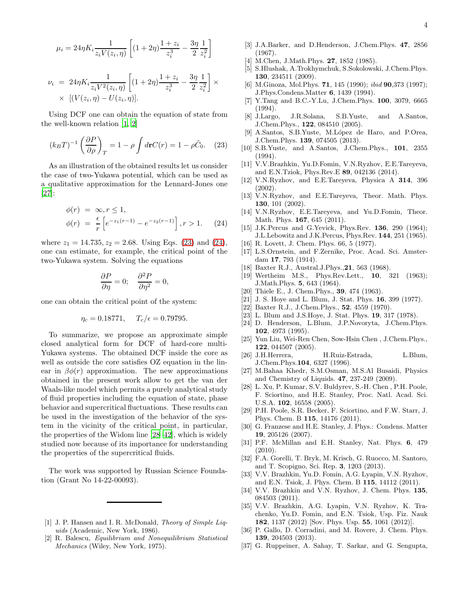$$
\mu_i = 24\eta K_i \frac{1}{z_i V(z_i, \eta)} \left[ (1 + 2\eta) \frac{1 + z_i}{z_i^3} - \frac{3\eta}{2} \frac{1}{z_i^2} \right]
$$

$$
\nu_i = 24\eta K_i \frac{1}{z_i V^2(z_i, \eta)} \left[ (1 + 2\eta) \frac{1 + z_i}{z_i^3} - \frac{3\eta}{2} \frac{1}{z_i^2} \right] \times \times \left[ (V(z_i, \eta) - U(z_i, \eta)) \right].
$$

Using DCF one can obtain the equation of state from the well-known relation [\[1](#page-3-0), [2](#page-3-1)]

<span id="page-3-22"></span>
$$
(k_B T)^{-1} \left(\frac{\partial P}{\partial \rho}\right)_T = 1 - \rho \int d\mathbf{r} C(r) = 1 - \rho \tilde{C}_0. \quad (23)
$$

As an illustration of the obtained results let us consider the case of two-Yukawa potential, which can be used as a qualitative approximation for the Lennard-Jones one [\[27\]](#page-3-21):

<span id="page-3-23"></span>
$$
\begin{aligned}\n\phi(r) &= \infty, r \le 1, \\
\phi(r) &= \frac{\epsilon}{r} \left[ e^{-z_1(r-1)} - e^{-z_2(r-1)} \right], r > 1. \tag{24}\n\end{aligned}
$$

where  $z_1 = 14.735, z_2 = 2.68$ . Using Eqs. [\(23\)](#page-3-22) and [\(24\)](#page-3-23), one can estimate, for example, the critical point of the two-Yukawa system. Solving the equations

$$
\frac{\partial P}{\partial \eta} = 0; \quad \frac{\partial^2 P}{\partial \eta^2} = 0,
$$

one can obtain the critical point of the system:

$$
\eta_c = 0.18771, \quad T_c/\epsilon = 0.79795.
$$

To summarize, we propose an approximate simple closed analytical form for DCF of hard-core multi-Yukawa systems. The obtained DCF inside the core as well as outside the core satisfies OZ equation in the linear in  $\beta\phi(r)$  approximation. The new approximations obtained in the present work allow to get the van der Waals-like model which permits a purely analytical study of fluid properties including the equation of state, phase behavior and supercritical fluctuations. These results can be used in the investigation of the behavior of the system in the vicinity of the critical point, in particular, the properties of the Widom line [\[28](#page-3-24)[–42](#page-4-0)], which is widely studied now because of its importance for understanding the properties of the supercritical fluids.

The work was supported by Russian Science Foundation (Grant No 14-22-00093).

- <span id="page-3-0"></span>[1] J. P. Hansen and I. R. McDonald, Theory of Simple Liquids (Academic, New York, 1986).
- <span id="page-3-1"></span>[2] R. Balescu, Equilibrium and Nonequilibrium Statistical Mechanics (Wiley, New York, 1975).
- <span id="page-3-2"></span>[3] J.A.Barker, and D.Henderson, J.Chem.Phys. 47, 2856 (1967).
- <span id="page-3-3"></span>M.Chen, J.Math.Phys. 27, 1852 (1985).
- [5] S.Hlushak, A.Trokhymchuk, S.Sokolowski, J.Chem.Phys. 130, 234511 (2009).
- <span id="page-3-4"></span>[6] M.Ginoza, Mol.Phys. **71**, 145 (1990); *ibid* **90**,373 (1997); J.Phys.Condens.Matter 6, 1439 (1994).
- <span id="page-3-5"></span>[7] Y.Tang and B.C.-Y.Lu, J.Chem.Phys. 100, 3079, 6665 (1994).
- <span id="page-3-6"></span>[8] J.Largo, J.R.Solana, S.B.Yuste, and A.Santos, J.Chem.Phys., 122, 084510 (2005).
- <span id="page-3-7"></span>A.Santos, S.B.Yuste, M.López de Haro, and P.Orea, J.Chem.Phys. 139, 074505 (2013).
- <span id="page-3-8"></span>[10] S.B.Yuste, and A.Santos, J.Chem.Phys., 101, 2355 (1994).
- <span id="page-3-9"></span>[11] V.V.Brazhkin, Yu.D.Fomin, V.N.Ryzhov, E.E.Tareyeva, and E.N.Tziok, Phys.Rev.E 89, 042136 (2014).
- [12] V.N.Ryzhov, and E.E.Tareyeva, Physica A 314, 396 (2002).
- [13] V.N.Ryzhov, and E.E.Tareyeva, Theor. Math. Phys. 130, 101 (2002).
- <span id="page-3-10"></span>[14] V.N.Ryzhov, E.E.Tareyeva, and Yu.D.Fomin, Theor. Math. Phys. 167, 645 (2011).
- <span id="page-3-11"></span>[15] J.K.Percus and G.Yevick, Phys.Rev. **136**, 290 (1964); J.L.Lebowitz and J.K.Percus, Phys.Rev. 144, 251 (1965).
- <span id="page-3-12"></span>[16] R. Lovett, J. Chem. Phys. 66, 5 (1977).
- <span id="page-3-17"></span>[17] L.S.Ornstein, and F.Zernike, Proc. Acad. Sci. Amsterdam 17, 793 (1914).
- <span id="page-3-13"></span>[18] Baxter R.J., Austral.J.Phys., 21, 563 (1968).
- [19] Wertheim M.S., Phys.Rev.Lett., 10, 321 (1963); J.Math.Phys. 5, 643 (1964).
- <span id="page-3-14"></span>[20] Thiele E., J. Chem. Phys., **39**, 474 (1963).
- <span id="page-3-15"></span>[21] J. S. Hoye and L. Blum, J. Stat. Phys. 16, 399 (1977).
- <span id="page-3-16"></span>[22] Baxter R.J., J.Chem.Phys., **52**, 4559 (1970).
- <span id="page-3-18"></span>[23] L. Blum and J.S.Hove, J. Stat. Phys. **19**, 317 (1978).
- [24] D. Henderson, L.Blum, J.P.Novoryta, J.Chem.Phys. 102, 4973 (1995).
- <span id="page-3-19"></span>[25] Yun Liu, Wei-Ren Chen, Sow-Hsin Chen , J.Chem.Phys., 122, 044507 (2005).
- <span id="page-3-20"></span>[26] J.H.Herrera, H.Ruiz-Estrada, L.Blum, J.Chem.Phys.104, 6327 (1996).
- <span id="page-3-21"></span>[27] M.Bahaa Khedr, S.M.Osman, M.S.Al Busaidi, Physics and Chemistry of Liquids. 47, 237-249 (2009).
- <span id="page-3-24"></span>[28] L. Xu, P. Kumar, S.V. Buldyrev, S.-H. Chen , P.H. Poole, F. Sciortino, and H.E. Stanley, Proc. Natl. Acad. Sci. U.S.A. 102, 16558 (2005).
- [29] P.H. Poole, S.R. Becker, F. Sciortino, and F.W. Starr, J. Phys. Chem. B 115, 14176 (2011).
- [30] G. Franzese and H.E. Stanley, J. Phys.: Condens. Matter 19, 205126 (2007).
- [31] P.F. McMillan and E.H. Stanley, Nat. Phys. 6, 479 (2010).
- [32] F.A. Gorelli, T. Bryk, M. Krisch, G. Ruocco, M. Santoro, and T. Scopigno, Sci. Rep. 3, 1203 (2013).
- [33] V.V. Brazhkin, Yu.D. Fomin, A.G. Lyapin, V.N. Ryzhov, and E.N. Tsiok, J. Phys. Chem. B 115, 14112 (2011).
- [34] V.V. Brazhkin and V.N. Ryzhov, J. Chem. Phys. 135, 084503 (2011).
- [35] V.V. Brazhkin, A.G. Lyapin, V.N. Ryzhov, K. Trachenko, Yu.D. Fomin, and E.N. Tsiok, Usp. Fiz. Nauk 182, 1137 (2012) [Sov. Phys. Usp. 55, 1061 (2012)].
- [36] P. Gallo, D. Corradini, and M. Rovere, J. Chem. Phys. 139, 204503 (2013).
- [37] G. Ruppeiner, A. Sahay, T. Sarkar, and G. Sengupta,